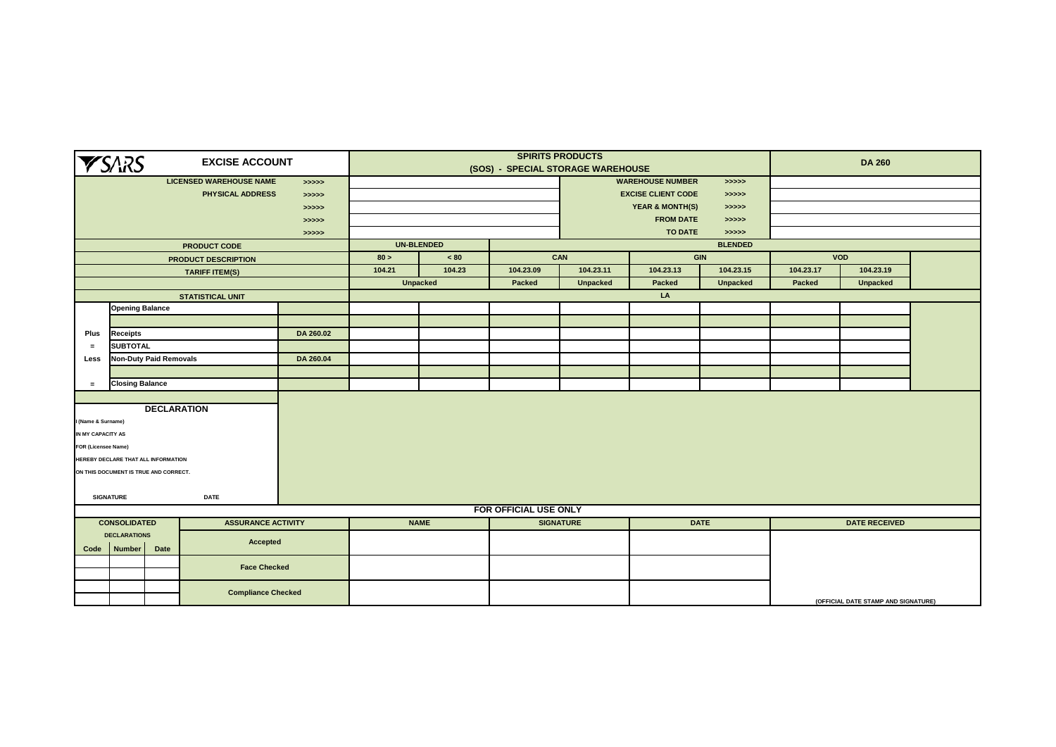|          | <b>YSARS</b>                                                                                                          |                               | <b>EXCISE ACCOUNT</b>          |            |        |                   |                       | <b>SPIRITS PRODUCTS</b><br>(SOS) - SPECIAL STORAGE WAREHOUSE |                            |                 |           | <b>DA 260</b>                       |  |
|----------|-----------------------------------------------------------------------------------------------------------------------|-------------------------------|--------------------------------|------------|--------|-------------------|-----------------------|--------------------------------------------------------------|----------------------------|-----------------|-----------|-------------------------------------|--|
|          |                                                                                                                       |                               | <b>LICENSED WAREHOUSE NAME</b> | > >> > > > |        |                   |                       |                                                              | <b>WAREHOUSE NUMBER</b>    | > >> > > >      |           |                                     |  |
|          |                                                                                                                       |                               | PHYSICAL ADDRESS               | > >> > > > |        |                   |                       |                                                              | <b>EXCISE CLIENT CODE</b>  | >>>>>           |           |                                     |  |
|          |                                                                                                                       |                               |                                | >>>>>      |        |                   |                       |                                                              | <b>YEAR &amp; MONTH(S)</b> | >>>>>           |           |                                     |  |
|          |                                                                                                                       |                               |                                | > >> > >   |        |                   |                       |                                                              | <b>FROM DATE</b>           | >>>>>           |           |                                     |  |
|          |                                                                                                                       |                               |                                | > >> > >   |        |                   |                       |                                                              | <b>TO DATE</b>             | > >> > >        |           |                                     |  |
|          |                                                                                                                       |                               | <b>PRODUCT CODE</b>            |            |        | <b>UN-BLENDED</b> |                       |                                                              |                            | <b>BLENDED</b>  |           |                                     |  |
|          |                                                                                                                       |                               | <b>PRODUCT DESCRIPTION</b>     |            | 80 >   | ~100              |                       | CAN                                                          |                            | <b>GIN</b>      |           | <b>VOD</b>                          |  |
|          |                                                                                                                       |                               | <b>TARIFF ITEM(S)</b>          |            | 104.21 | 104.23            | 104.23.09             | 104.23.11                                                    | 104.23.13                  | 104.23.15       | 104.23.17 | 104.23.19                           |  |
|          |                                                                                                                       |                               |                                |            |        | <b>Unpacked</b>   | Packed                | <b>Unpacked</b>                                              | <b>Packed</b>              | <b>Unpacked</b> | Packed    | <b>Unpacked</b>                     |  |
|          |                                                                                                                       |                               | <b>STATISTICAL UNIT</b>        |            |        |                   |                       |                                                              | LA                         |                 |           |                                     |  |
|          | <b>Opening Balance</b>                                                                                                |                               |                                |            |        |                   |                       |                                                              |                            |                 |           |                                     |  |
|          |                                                                                                                       |                               |                                |            |        |                   |                       |                                                              |                            |                 |           |                                     |  |
| Plus     | <b>Receipts</b>                                                                                                       |                               |                                | DA 260.02  |        |                   |                       |                                                              |                            |                 |           |                                     |  |
| $\equiv$ | <b>SUBTOTAL</b>                                                                                                       |                               |                                |            |        |                   |                       |                                                              |                            |                 |           |                                     |  |
| Less     |                                                                                                                       | <b>Non-Duty Paid Removals</b> |                                | DA 260.04  |        |                   |                       |                                                              |                            |                 |           |                                     |  |
|          |                                                                                                                       |                               |                                |            |        |                   |                       |                                                              |                            |                 |           |                                     |  |
| $\equiv$ |                                                                                                                       |                               |                                |            |        |                   |                       |                                                              |                            |                 |           |                                     |  |
|          | <b>Closing Balance</b><br><b>DECLARATION</b><br>I (Name & Surname)<br>IN MY CAPACITY AS<br><b>FOR (Licensee Name)</b> |                               |                                |            |        |                   |                       |                                                              |                            |                 |           |                                     |  |
|          | HEREBY DECLARE THAT ALL INFORMATION                                                                                   |                               |                                |            |        |                   |                       |                                                              |                            |                 |           |                                     |  |
|          | ON THIS DOCUMENT IS TRUE AND CORRECT.                                                                                 |                               |                                |            |        |                   |                       |                                                              |                            |                 |           |                                     |  |
|          |                                                                                                                       |                               |                                |            |        |                   |                       |                                                              |                            |                 |           |                                     |  |
|          | <b>SIGNATURE</b>                                                                                                      |                               | <b>DATE</b>                    |            |        |                   |                       |                                                              |                            |                 |           |                                     |  |
|          |                                                                                                                       |                               |                                |            |        |                   | FOR OFFICIAL USE ONLY |                                                              |                            |                 |           |                                     |  |
|          | <b>CONSOLIDATED</b>                                                                                                   |                               | <b>ASSURANCE ACTIVITY</b>      |            |        | <b>NAME</b>       |                       | <b>SIGNATURE</b>                                             |                            | <b>DATE</b>     |           | <b>DATE RECEIVED</b>                |  |
| Code     | <b>DECLARATIONS</b><br><b>Number</b>                                                                                  | Date                          | Accepted                       |            |        |                   |                       |                                                              |                            |                 |           |                                     |  |
|          |                                                                                                                       |                               | <b>Face Checked</b>            |            |        |                   |                       |                                                              |                            |                 |           |                                     |  |
|          |                                                                                                                       |                               | <b>Compliance Checked</b>      |            |        |                   |                       |                                                              |                            |                 |           | (OFFICIAL DATE STAMP AND SIGNATURE) |  |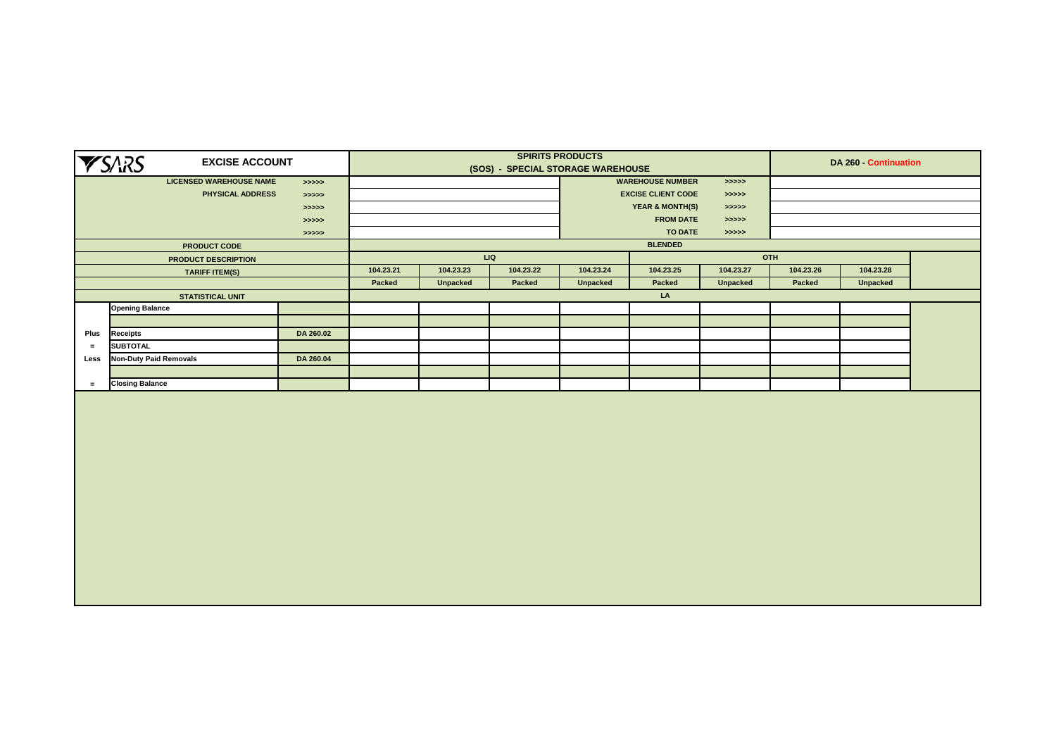|          | <b>YSARS</b>                  | <b>EXCISE ACCOUNT</b>          |            |           |                 |           | <b>SPIRITS PRODUCTS</b><br>(SOS) - SPECIAL STORAGE WAREHOUSE |                            |                 |           | DA 260 - Continuation |  |
|----------|-------------------------------|--------------------------------|------------|-----------|-----------------|-----------|--------------------------------------------------------------|----------------------------|-----------------|-----------|-----------------------|--|
|          |                               | <b>LICENSED WAREHOUSE NAME</b> | > >> > > > |           |                 |           |                                                              | <b>WAREHOUSE NUMBER</b>    | >>>>            |           |                       |  |
|          |                               | <b>PHYSICAL ADDRESS</b>        | >>>>>      |           |                 |           |                                                              | <b>EXCISE CLIENT CODE</b>  | >>>>            |           |                       |  |
|          |                               |                                | >>>>>      |           |                 |           |                                                              | <b>YEAR &amp; MONTH(S)</b> | > >> > > >      |           |                       |  |
|          |                               |                                | >>>>>      |           |                 |           |                                                              | <b>FROM DATE</b>           | > >> > > >      |           |                       |  |
|          |                               |                                | >>>>>      |           |                 |           |                                                              | <b>TO DATE</b>             | >>>>>           |           |                       |  |
|          |                               | PRODUCT CODE                   |            |           |                 |           |                                                              | <b>BLENDED</b>             |                 |           |                       |  |
|          |                               | PRODUCT DESCRIPTION            |            |           |                 | LIQ       |                                                              |                            |                 | OTH       |                       |  |
|          |                               | <b>TARIFF ITEM(S)</b>          |            | 104.23.21 | 104.23.23       | 104.23.22 | 104.23.24                                                    | 104.23.25                  | 104.23.27       | 104.23.26 | 104.23.28             |  |
|          |                               |                                |            | Packed    | <b>Unpacked</b> | Packed    | <b>Unpacked</b>                                              | Packed                     | <b>Unpacked</b> | Packed    | <b>Unpacked</b>       |  |
|          |                               | <b>STATISTICAL UNIT</b>        |            |           |                 |           |                                                              | LA                         |                 |           |                       |  |
|          | <b>Opening Balance</b>        |                                |            |           |                 |           |                                                              |                            |                 |           |                       |  |
|          |                               |                                |            |           |                 |           |                                                              |                            |                 |           |                       |  |
| Plus     | <b>Receipts</b>               |                                | DA 260.02  |           |                 |           |                                                              |                            |                 |           |                       |  |
| $\equiv$ | <b>SUBTOTAL</b>               |                                |            |           |                 |           |                                                              |                            |                 |           |                       |  |
| Less     | <b>Non-Duty Paid Removals</b> |                                | DA 260.04  |           |                 |           |                                                              |                            |                 |           |                       |  |
|          |                               |                                |            |           |                 |           |                                                              |                            |                 |           |                       |  |
| $\equiv$ | <b>Closing Balance</b>        |                                |            |           |                 |           |                                                              |                            |                 |           |                       |  |
|          |                               |                                |            |           |                 |           |                                                              |                            |                 |           |                       |  |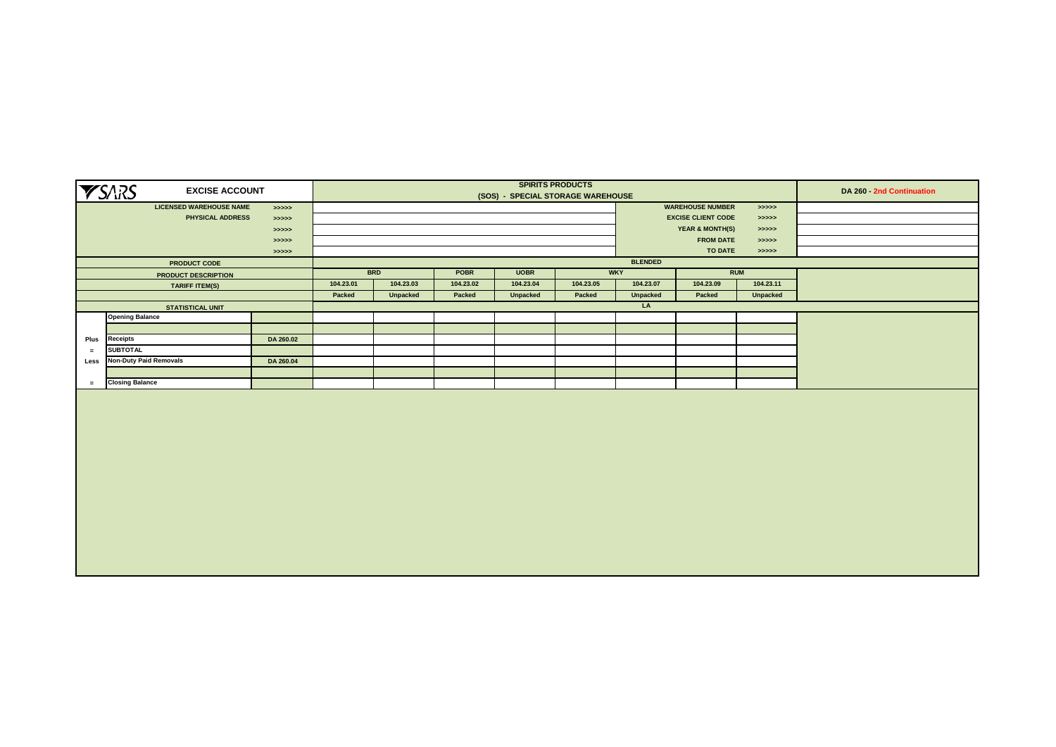|      | <b>YSARS</b><br><b>EXCISE ACCOUNT</b> |            |           |            |           | (SOS) - SPECIAL STORAGE WAREHOUSE | <b>SPIRITS PRODUCTS</b> |                |                            |            | DA 260 - 2nd Continuation |
|------|---------------------------------------|------------|-----------|------------|-----------|-----------------------------------|-------------------------|----------------|----------------------------|------------|---------------------------|
|      | <b>LICENSED WAREHOUSE NAME</b>        | > >> > >   |           |            |           |                                   |                         |                | <b>WAREHOUSE NUMBER</b>    | > >> > > > |                           |
|      | <b>PHYSICAL ADDRESS</b>               | >>>>>      |           |            |           |                                   |                         |                | <b>EXCISE CLIENT CODE</b>  | > >> > > > |                           |
|      |                                       | > >> > >   |           |            |           |                                   |                         |                | <b>YEAR &amp; MONTH(S)</b> | > >> > > > |                           |
|      |                                       | > >> > >   |           |            |           |                                   |                         |                | <b>FROM DATE</b>           | >>>>>      |                           |
|      |                                       | > >> > > > |           |            |           |                                   |                         |                | <b>TO DATE</b>             | > >> > > > |                           |
|      | <b>PRODUCT CODE</b>                   |            |           |            |           |                                   |                         | <b>BLENDED</b> |                            |            |                           |
|      | <b>PRODUCT DESCRIPTION</b>            |            |           | <b>BRD</b> | POBR      | <b>UOBR</b>                       |                         | <b>WKY</b>     |                            | <b>RUM</b> |                           |
|      | <b>TARIFF ITEM(S)</b>                 |            | 104.23.01 | 104.23.03  | 104.23.02 | 104.23.04                         | 104.23.05               | 104.23.07      | 104.23.09                  | 104.23.11  |                           |
|      |                                       |            | Packed    | Unpacked   | Packed    | Unpacked                          | Packed                  | Unpacked       | Packed                     | Unpacked   |                           |
|      | <b>STATISTICAL UNIT</b>               |            |           |            |           |                                   |                         | LA             |                            |            |                           |
|      | <b>Opening Balance</b>                |            |           |            |           |                                   |                         |                |                            |            |                           |
|      |                                       |            |           |            |           |                                   |                         |                |                            |            |                           |
| Plus | <b>Receipts</b>                       | DA 260.02  |           |            |           |                                   |                         |                |                            |            |                           |
| $=$  | <b>SUBTOTAL</b>                       |            |           |            |           |                                   |                         |                |                            |            |                           |
| Less | <b>Non-Duty Paid Removals</b>         | DA 260.04  |           |            |           |                                   |                         |                |                            |            |                           |
|      |                                       |            |           |            |           |                                   |                         |                |                            |            |                           |
| $=$  | <b>Closing Balance</b>                |            |           |            |           |                                   |                         |                |                            |            |                           |
|      |                                       |            |           |            |           |                                   |                         |                |                            |            |                           |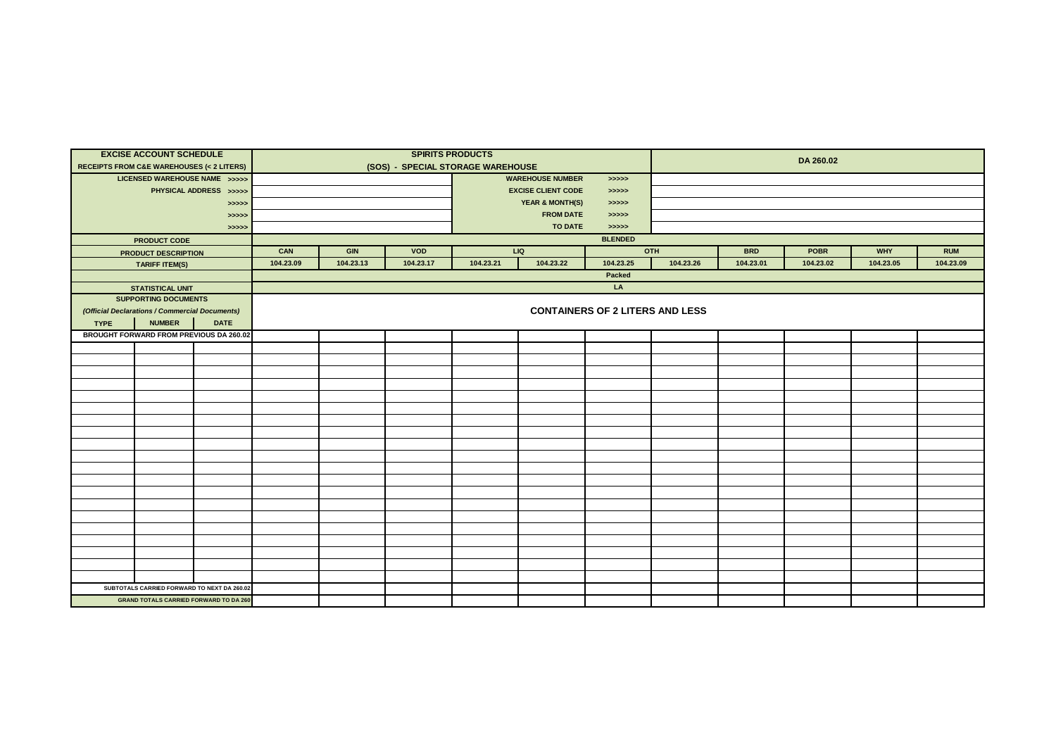|             | <b>EXCISE ACCOUNT SCHEDULE</b><br><b>RECEIPTS FROM C&amp;E WAREHOUSES (&lt; 2 LITERS)</b> |                                               |           |           | (SOS) - SPECIAL STORAGE WAREHOUSE | <b>SPIRITS PRODUCTS</b> |                            |                                        |           |            | DA 260.02   |            |            |
|-------------|-------------------------------------------------------------------------------------------|-----------------------------------------------|-----------|-----------|-----------------------------------|-------------------------|----------------------------|----------------------------------------|-----------|------------|-------------|------------|------------|
|             | LICENSED WAREHOUSE NAME >>>>>                                                             |                                               |           |           |                                   |                         | <b>WAREHOUSE NUMBER</b>    | > >> > >                               |           |            |             |            |            |
|             |                                                                                           | PHYSICAL ADDRESS >>>>>                        |           |           |                                   |                         | <b>EXCISE CLIENT CODE</b>  | > >> > >                               |           |            |             |            |            |
|             |                                                                                           | > >> > >                                      |           |           |                                   |                         | <b>YEAR &amp; MONTH(S)</b> | >>>>>                                  |           |            |             |            |            |
|             |                                                                                           | >>>>>                                         |           |           |                                   |                         | <b>FROM DATE</b>           | > >> > >                               |           |            |             |            |            |
|             |                                                                                           | >>>>>                                         |           |           |                                   |                         | <b>TO DATE</b>             | >>>>>                                  |           |            |             |            |            |
|             | <b>PRODUCT CODE</b>                                                                       |                                               |           |           |                                   |                         |                            | <b>BLENDED</b>                         |           |            |             |            |            |
|             | <b>PRODUCT DESCRIPTION</b>                                                                |                                               | CAN       | GIN       | VOD                               |                         | LIQ                        |                                        | OTH       | <b>BRD</b> | <b>POBR</b> | <b>WHY</b> | <b>RUM</b> |
|             | <b>TARIFF ITEM(S)</b>                                                                     |                                               | 104.23.09 | 104.23.13 | 104.23.17                         | 104.23.21               | 104.23.22                  | 104.23.25                              | 104.23.26 | 104.23.01  | 104.23.02   | 104.23.05  | 104.23.09  |
|             |                                                                                           |                                               |           |           |                                   |                         |                            | Packed                                 |           |            |             |            |            |
|             | <b>STATISTICAL UNIT</b>                                                                   |                                               |           |           |                                   |                         |                            | LA                                     |           |            |             |            |            |
|             | <b>SUPPORTING DOCUMENTS</b>                                                               |                                               |           |           |                                   |                         |                            |                                        |           |            |             |            |            |
|             | (Official Declarations / Commercial Documents)                                            |                                               |           |           |                                   |                         |                            | <b>CONTAINERS OF 2 LITERS AND LESS</b> |           |            |             |            |            |
| <b>TYPE</b> | <b>NUMBER</b>                                                                             | <b>DATE</b>                                   |           |           |                                   |                         |                            |                                        |           |            |             |            |            |
|             |                                                                                           | BROUGHT FORWARD FROM PREVIOUS DA 260.02       |           |           |                                   |                         |                            |                                        |           |            |             |            |            |
|             |                                                                                           |                                               |           |           |                                   |                         |                            |                                        |           |            |             |            |            |
|             |                                                                                           |                                               |           |           |                                   |                         |                            |                                        |           |            |             |            |            |
|             |                                                                                           |                                               |           |           |                                   |                         |                            |                                        |           |            |             |            |            |
|             |                                                                                           |                                               |           |           |                                   |                         |                            |                                        |           |            |             |            |            |
|             |                                                                                           |                                               |           |           |                                   |                         |                            |                                        |           |            |             |            |            |
|             |                                                                                           |                                               |           |           |                                   |                         |                            |                                        |           |            |             |            |            |
|             |                                                                                           |                                               |           |           |                                   |                         |                            |                                        |           |            |             |            |            |
|             |                                                                                           |                                               |           |           |                                   |                         |                            |                                        |           |            |             |            |            |
|             |                                                                                           |                                               |           |           |                                   |                         |                            |                                        |           |            |             |            |            |
|             |                                                                                           |                                               |           |           |                                   |                         |                            |                                        |           |            |             |            |            |
|             |                                                                                           |                                               |           |           |                                   |                         |                            |                                        |           |            |             |            |            |
|             |                                                                                           |                                               |           |           |                                   |                         |                            |                                        |           |            |             |            |            |
|             |                                                                                           |                                               |           |           |                                   |                         |                            |                                        |           |            |             |            |            |
|             |                                                                                           |                                               |           |           |                                   |                         |                            |                                        |           |            |             |            |            |
|             |                                                                                           |                                               |           |           |                                   |                         |                            |                                        |           |            |             |            |            |
|             |                                                                                           |                                               |           |           |                                   |                         |                            |                                        |           |            |             |            |            |
|             |                                                                                           |                                               |           |           |                                   |                         |                            |                                        |           |            |             |            |            |
|             |                                                                                           |                                               |           |           |                                   |                         |                            |                                        |           |            |             |            |            |
|             |                                                                                           |                                               |           |           |                                   |                         |                            |                                        |           |            |             |            |            |
|             |                                                                                           |                                               |           |           |                                   |                         |                            |                                        |           |            |             |            |            |
|             |                                                                                           | SUBTOTALS CARRIED FORWARD TO NEXT DA 260.02   |           |           |                                   |                         |                            |                                        |           |            |             |            |            |
|             |                                                                                           | <b>GRAND TOTALS CARRIED FORWARD TO DA 260</b> |           |           |                                   |                         |                            |                                        |           |            |             |            |            |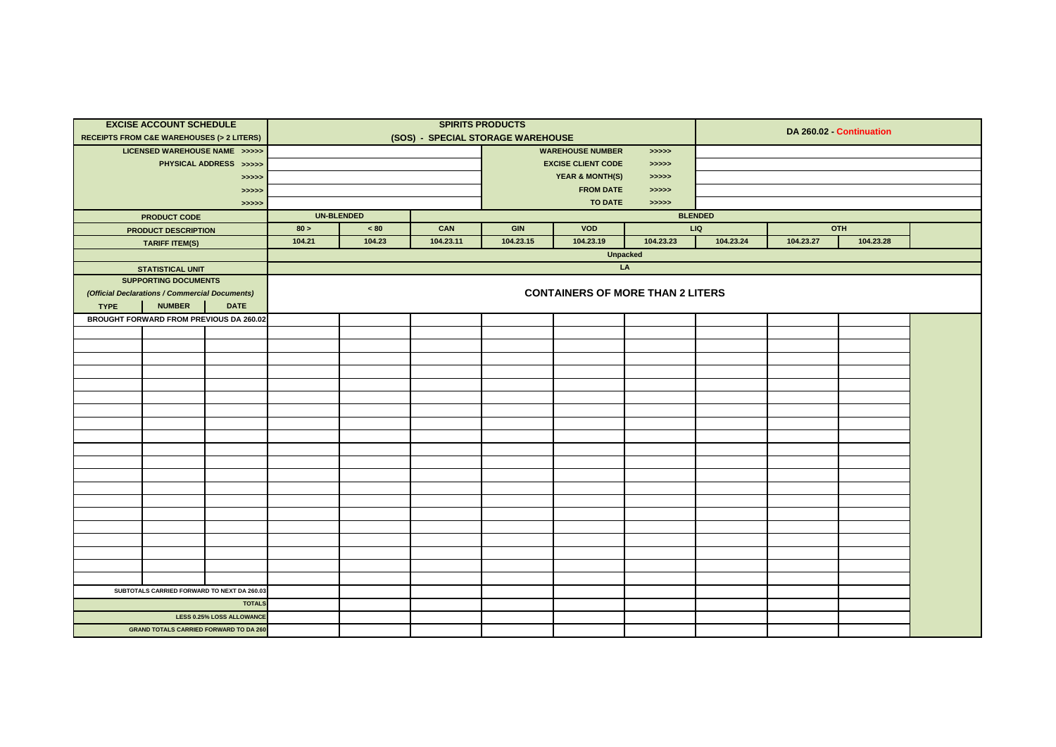|             | <b>EXCISE ACCOUNT SCHEDULE</b>                          |                                  |        |                   |                                   | <b>SPIRITS PRODUCTS</b> |                                         |                 |                |           |                          |  |
|-------------|---------------------------------------------------------|----------------------------------|--------|-------------------|-----------------------------------|-------------------------|-----------------------------------------|-----------------|----------------|-----------|--------------------------|--|
|             | <b>RECEIPTS FROM C&amp;E WAREHOUSES (&gt; 2 LITERS)</b> |                                  |        |                   | (SOS) - SPECIAL STORAGE WAREHOUSE |                         |                                         |                 |                |           | DA 260.02 - Continuation |  |
|             | LICENSED WAREHOUSE NAME >>>>>                           |                                  |        |                   |                                   |                         | <b>WAREHOUSE NUMBER</b>                 | > >> > > >      |                |           |                          |  |
|             |                                                         | PHYSICAL ADDRESS >>>>>           |        |                   |                                   |                         | <b>EXCISE CLIENT CODE</b>               | > >> > >        |                |           |                          |  |
|             |                                                         | >>>>>                            |        |                   |                                   |                         | <b>YEAR &amp; MONTH(S)</b>              | > >> > >        |                |           |                          |  |
|             |                                                         | >>>>>                            |        |                   |                                   |                         | <b>FROM DATE</b>                        | > >> > >        |                |           |                          |  |
|             |                                                         | >>>>>                            |        |                   |                                   |                         | <b>TO DATE</b>                          | >>>>>           |                |           |                          |  |
|             | <b>PRODUCT CODE</b>                                     |                                  |        | <b>UN-BLENDED</b> |                                   |                         |                                         |                 | <b>BLENDED</b> |           |                          |  |
|             | <b>PRODUCT DESCRIPTION</b>                              |                                  | 80 >   | $< 80$            | CAN                               | <b>GIN</b>              | <b>VOD</b>                              |                 | LIQ            |           | OTH                      |  |
|             | <b>TARIFF ITEM(S)</b>                                   |                                  | 104.21 | 104.23            | 104.23.11                         | 104.23.15               | 104.23.19                               | 104.23.23       | 104.23.24      | 104.23.27 | 104.23.28                |  |
|             |                                                         |                                  |        |                   |                                   |                         |                                         | <b>Unpacked</b> |                |           |                          |  |
|             | <b>STATISTICAL UNIT</b>                                 |                                  |        |                   |                                   |                         |                                         | LA              |                |           |                          |  |
|             | <b>SUPPORTING DOCUMENTS</b>                             |                                  |        |                   |                                   |                         |                                         |                 |                |           |                          |  |
|             | (Official Declarations / Commercial Documents)          |                                  |        |                   |                                   |                         | <b>CONTAINERS OF MORE THAN 2 LITERS</b> |                 |                |           |                          |  |
| <b>TYPE</b> | <b>NUMBER</b>                                           | <b>DATE</b>                      |        |                   |                                   |                         |                                         |                 |                |           |                          |  |
|             | BROUGHT FORWARD FROM PREVIOUS DA 260.02                 |                                  |        |                   |                                   |                         |                                         |                 |                |           |                          |  |
|             |                                                         |                                  |        |                   |                                   |                         |                                         |                 |                |           |                          |  |
|             |                                                         |                                  |        |                   |                                   |                         |                                         |                 |                |           |                          |  |
|             |                                                         |                                  |        |                   |                                   |                         |                                         |                 |                |           |                          |  |
|             |                                                         |                                  |        |                   |                                   |                         |                                         |                 |                |           |                          |  |
|             |                                                         |                                  |        |                   |                                   |                         |                                         |                 |                |           |                          |  |
|             |                                                         |                                  |        |                   |                                   |                         |                                         |                 |                |           |                          |  |
|             |                                                         |                                  |        |                   |                                   |                         |                                         |                 |                |           |                          |  |
|             |                                                         |                                  |        |                   |                                   |                         |                                         |                 |                |           |                          |  |
|             |                                                         |                                  |        |                   |                                   |                         |                                         |                 |                |           |                          |  |
|             |                                                         |                                  |        |                   |                                   |                         |                                         |                 |                |           |                          |  |
|             |                                                         |                                  |        |                   |                                   |                         |                                         |                 |                |           |                          |  |
|             |                                                         |                                  |        |                   |                                   |                         |                                         |                 |                |           |                          |  |
|             |                                                         |                                  |        |                   |                                   |                         |                                         |                 |                |           |                          |  |
|             |                                                         |                                  |        |                   |                                   |                         |                                         |                 |                |           |                          |  |
|             |                                                         |                                  |        |                   |                                   |                         |                                         |                 |                |           |                          |  |
|             |                                                         |                                  |        |                   |                                   |                         |                                         |                 |                |           |                          |  |
|             |                                                         |                                  |        |                   |                                   |                         |                                         |                 |                |           |                          |  |
|             |                                                         |                                  |        |                   |                                   |                         |                                         |                 |                |           |                          |  |
|             |                                                         |                                  |        |                   |                                   |                         |                                         |                 |                |           |                          |  |
|             |                                                         |                                  |        |                   |                                   |                         |                                         |                 |                |           |                          |  |
|             | SUBTOTALS CARRIED FORWARD TO NEXT DA 260.03             |                                  |        |                   |                                   |                         |                                         |                 |                |           |                          |  |
|             |                                                         | <b>TOTALS</b>                    |        |                   |                                   |                         |                                         |                 |                |           |                          |  |
|             |                                                         | <b>LESS 0.25% LOSS ALLOWANCE</b> |        |                   |                                   |                         |                                         |                 |                |           |                          |  |
|             | <b>GRAND TOTALS CARRIED FORWARD TO DA 260</b>           |                                  |        |                   |                                   |                         |                                         |                 |                |           |                          |  |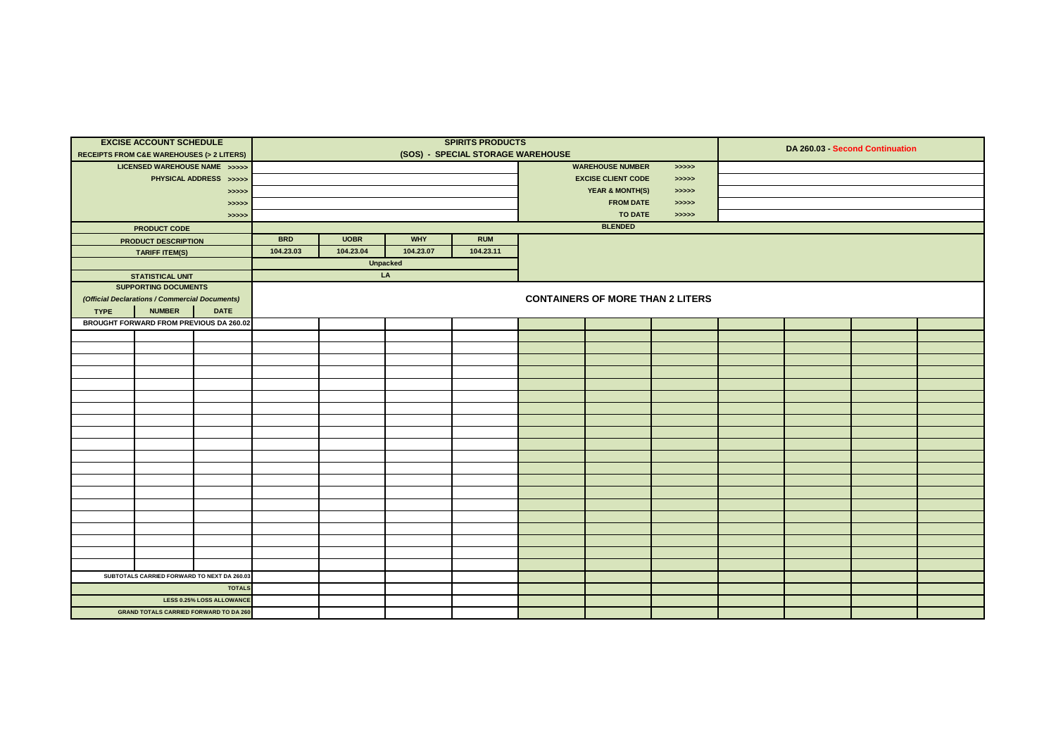| <b>RECEIPTS FROM C&amp;E WAREHOUSES (&gt; 2 LITERS)</b> | <b>EXCISE ACCOUNT SCHEDULE</b>                 |                                  |            |             |                 | <b>SPIRITS PRODUCTS</b><br>(SOS) - SPECIAL STORAGE WAREHOUSE |  |                                         |            | DA 260.03 Second Continuation |  |
|---------------------------------------------------------|------------------------------------------------|----------------------------------|------------|-------------|-----------------|--------------------------------------------------------------|--|-----------------------------------------|------------|-------------------------------|--|
|                                                         | LICENSED WAREHOUSE NAME >>>>>                  |                                  |            |             |                 |                                                              |  | <b>WAREHOUSE NUMBER</b>                 | > >> > > > |                               |  |
|                                                         |                                                | PHYSICAL ADDRESS >>>>>           |            |             |                 |                                                              |  | <b>EXCISE CLIENT CODE</b>               | > >> > >   |                               |  |
|                                                         |                                                | >>>>>                            |            |             |                 |                                                              |  | <b>YEAR &amp; MONTH(S)</b>              | > >> > >   |                               |  |
|                                                         |                                                | >>>>>                            |            |             |                 |                                                              |  | <b>FROM DATE</b>                        | > >> > >   |                               |  |
|                                                         |                                                | > >> > >                         |            |             |                 |                                                              |  | <b>TO DATE</b>                          | > >> > >   |                               |  |
|                                                         | <b>PRODUCT CODE</b>                            |                                  |            |             |                 |                                                              |  | <b>BLENDED</b>                          |            |                               |  |
|                                                         | PRODUCT DESCRIPTION                            |                                  | <b>BRD</b> | <b>UOBR</b> | <b>WHY</b>      | <b>RUM</b>                                                   |  |                                         |            |                               |  |
|                                                         | <b>TARIFF ITEM(S)</b>                          |                                  | 104.23.03  | 104.23.04   | 104.23.07       | 104.23.11                                                    |  |                                         |            |                               |  |
|                                                         |                                                |                                  |            |             | <b>Unpacked</b> |                                                              |  |                                         |            |                               |  |
|                                                         | <b>STATISTICAL UNIT</b>                        |                                  |            |             | LA              |                                                              |  |                                         |            |                               |  |
|                                                         | <b>SUPPORTING DOCUMENTS</b>                    |                                  |            |             |                 |                                                              |  |                                         |            |                               |  |
|                                                         | (Official Declarations / Commercial Documents) |                                  |            |             |                 |                                                              |  | <b>CONTAINERS OF MORE THAN 2 LITERS</b> |            |                               |  |
| <b>TYPE</b>                                             | <b>NUMBER</b>                                  | <b>DATE</b>                      |            |             |                 |                                                              |  |                                         |            |                               |  |
|                                                         |                                                |                                  |            |             |                 |                                                              |  |                                         |            |                               |  |
|                                                         | BROUGHT FORWARD FROM PREVIOUS DA 260.02        |                                  |            |             |                 |                                                              |  |                                         |            |                               |  |
|                                                         |                                                |                                  |            |             |                 |                                                              |  |                                         |            |                               |  |
|                                                         |                                                |                                  |            |             |                 |                                                              |  |                                         |            |                               |  |
|                                                         |                                                |                                  |            |             |                 |                                                              |  |                                         |            |                               |  |
|                                                         |                                                |                                  |            |             |                 |                                                              |  |                                         |            |                               |  |
|                                                         |                                                |                                  |            |             |                 |                                                              |  |                                         |            |                               |  |
|                                                         |                                                |                                  |            |             |                 |                                                              |  |                                         |            |                               |  |
|                                                         |                                                |                                  |            |             |                 |                                                              |  |                                         |            |                               |  |
|                                                         |                                                |                                  |            |             |                 |                                                              |  |                                         |            |                               |  |
|                                                         |                                                |                                  |            |             |                 |                                                              |  |                                         |            |                               |  |
|                                                         |                                                |                                  |            |             |                 |                                                              |  |                                         |            |                               |  |
|                                                         |                                                |                                  |            |             |                 |                                                              |  |                                         |            |                               |  |
|                                                         |                                                |                                  |            |             |                 |                                                              |  |                                         |            |                               |  |
|                                                         |                                                |                                  |            |             |                 |                                                              |  |                                         |            |                               |  |
|                                                         |                                                |                                  |            |             |                 |                                                              |  |                                         |            |                               |  |
|                                                         |                                                |                                  |            |             |                 |                                                              |  |                                         |            |                               |  |
|                                                         |                                                |                                  |            |             |                 |                                                              |  |                                         |            |                               |  |
|                                                         |                                                |                                  |            |             |                 |                                                              |  |                                         |            |                               |  |
|                                                         |                                                |                                  |            |             |                 |                                                              |  |                                         |            |                               |  |
|                                                         |                                                |                                  |            |             |                 |                                                              |  |                                         |            |                               |  |
|                                                         | SUBTOTALS CARRIED FORWARD TO NEXT DA 260.03    |                                  |            |             |                 |                                                              |  |                                         |            |                               |  |
|                                                         |                                                | <b>TOTALS</b>                    |            |             |                 |                                                              |  |                                         |            |                               |  |
|                                                         |                                                | <b>LESS 0.25% LOSS ALLOWANCE</b> |            |             |                 |                                                              |  |                                         |            |                               |  |
|                                                         | <b>GRAND TOTALS CARRIED FORWARD TO DA 260</b>  |                                  |            |             |                 |                                                              |  |                                         |            |                               |  |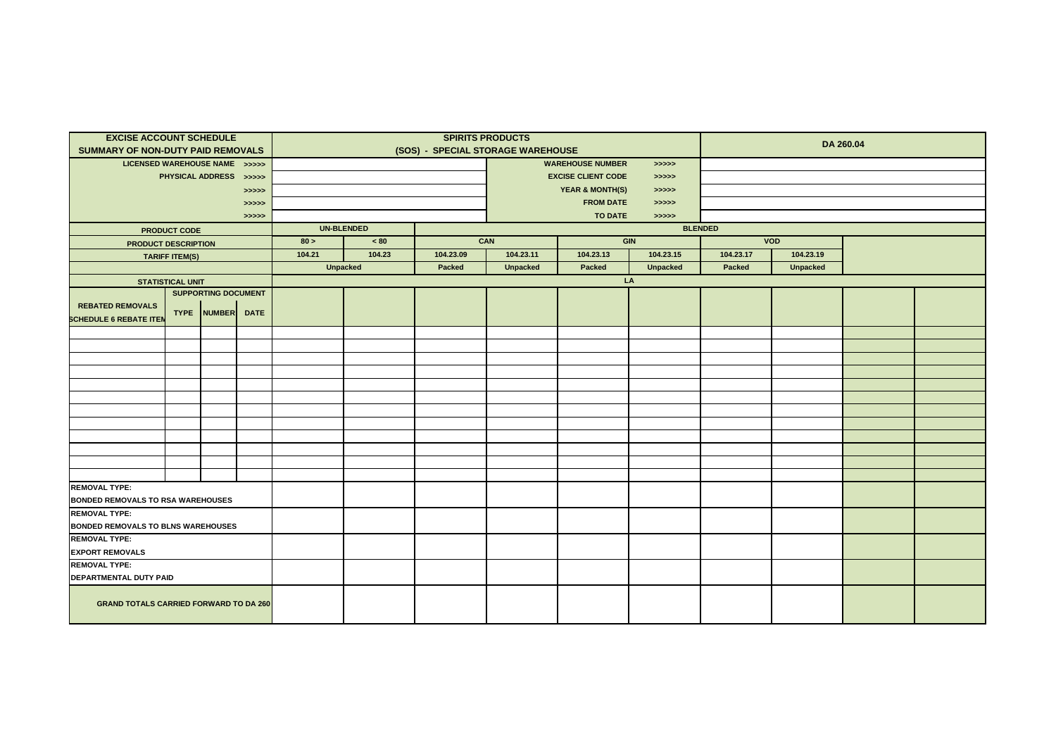| <b>EXCISE ACCOUNT SCHEDULE</b>                |                         |                            |          |                   |                 |           | <b>SPIRITS PRODUCTS</b>           |                            |                 |                |                 | DA 260.04 |  |
|-----------------------------------------------|-------------------------|----------------------------|----------|-------------------|-----------------|-----------|-----------------------------------|----------------------------|-----------------|----------------|-----------------|-----------|--|
| <b>SUMMARY OF NON-DUTY PAID REMOVALS</b>      |                         |                            |          |                   |                 |           | (SOS) - SPECIAL STORAGE WAREHOUSE |                            |                 |                |                 |           |  |
| LICENSED WAREHOUSE NAME >>>>>                 |                         |                            |          |                   |                 |           |                                   | <b>WAREHOUSE NUMBER</b>    | > >> > > >      |                |                 |           |  |
|                                               |                         | PHYSICAL ADDRESS >>>>>     |          |                   |                 |           |                                   | <b>EXCISE CLIENT CODE</b>  | > >> > >        |                |                 |           |  |
|                                               |                         |                            | >>>>>    |                   |                 |           |                                   | <b>YEAR &amp; MONTH(S)</b> | > >> > > >      |                |                 |           |  |
|                                               |                         |                            | >>>>>    |                   |                 |           |                                   | <b>FROM DATE</b>           | > >> > > >      |                |                 |           |  |
|                                               |                         |                            | > >> > > |                   |                 |           |                                   | <b>TO DATE</b>             | >>>>>           |                |                 |           |  |
|                                               | <b>PRODUCT CODE</b>     |                            |          | <b>UN-BLENDED</b> |                 |           |                                   |                            |                 | <b>BLENDED</b> |                 |           |  |
| <b>PRODUCT DESCRIPTION</b>                    |                         |                            |          | 80 >              | $~<$ 80         |           | CAN                               |                            | <b>GIN</b>      |                | <b>VOD</b>      |           |  |
|                                               | <b>TARIFF ITEM(S)</b>   |                            |          | 104.21            | 104.23          | 104.23.09 | 104.23.11                         | 104.23.13                  | 104.23.15       | 104.23.17      | 104.23.19       |           |  |
|                                               |                         |                            |          |                   | <b>Unpacked</b> | Packed    | <b>Unpacked</b>                   | Packed                     | <b>Unpacked</b> | Packed         | <b>Unpacked</b> |           |  |
|                                               | <b>STATISTICAL UNIT</b> |                            |          |                   |                 |           |                                   |                            | LA              |                |                 |           |  |
|                                               |                         | <b>SUPPORTING DOCUMENT</b> |          |                   |                 |           |                                   |                            |                 |                |                 |           |  |
| <b>REBATED REMOVALS</b>                       |                         | TYPE NUMBER DATE           |          |                   |                 |           |                                   |                            |                 |                |                 |           |  |
| <b>SCHEDULE 6 REBATE ITEN</b>                 |                         |                            |          |                   |                 |           |                                   |                            |                 |                |                 |           |  |
|                                               |                         |                            |          |                   |                 |           |                                   |                            |                 |                |                 |           |  |
|                                               |                         |                            |          |                   |                 |           |                                   |                            |                 |                |                 |           |  |
|                                               |                         |                            |          |                   |                 |           |                                   |                            |                 |                |                 |           |  |
|                                               |                         |                            |          |                   |                 |           |                                   |                            |                 |                |                 |           |  |
|                                               |                         |                            |          |                   |                 |           |                                   |                            |                 |                |                 |           |  |
|                                               |                         |                            |          |                   |                 |           |                                   |                            |                 |                |                 |           |  |
|                                               |                         |                            |          |                   |                 |           |                                   |                            |                 |                |                 |           |  |
|                                               |                         |                            |          |                   |                 |           |                                   |                            |                 |                |                 |           |  |
|                                               |                         |                            |          |                   |                 |           |                                   |                            |                 |                |                 |           |  |
|                                               |                         |                            |          |                   |                 |           |                                   |                            |                 |                |                 |           |  |
|                                               |                         |                            |          |                   |                 |           |                                   |                            |                 |                |                 |           |  |
| <b>REMOVAL TYPE:</b>                          |                         |                            |          |                   |                 |           |                                   |                            |                 |                |                 |           |  |
| <b>BONDED REMOVALS TO RSA WAREHOUSES</b>      |                         |                            |          |                   |                 |           |                                   |                            |                 |                |                 |           |  |
| <b>REMOVAL TYPE:</b>                          |                         |                            |          |                   |                 |           |                                   |                            |                 |                |                 |           |  |
| <b>BONDED REMOVALS TO BLNS WAREHOUSES</b>     |                         |                            |          |                   |                 |           |                                   |                            |                 |                |                 |           |  |
| <b>REMOVAL TYPE:</b>                          |                         |                            |          |                   |                 |           |                                   |                            |                 |                |                 |           |  |
| <b>EXPORT REMOVALS</b>                        |                         |                            |          |                   |                 |           |                                   |                            |                 |                |                 |           |  |
| <b>REMOVAL TYPE:</b>                          |                         |                            |          |                   |                 |           |                                   |                            |                 |                |                 |           |  |
| DEPARTMENTAL DUTY PAID                        |                         |                            |          |                   |                 |           |                                   |                            |                 |                |                 |           |  |
| <b>GRAND TOTALS CARRIED FORWARD TO DA 260</b> |                         |                            |          |                   |                 |           |                                   |                            |                 |                |                 |           |  |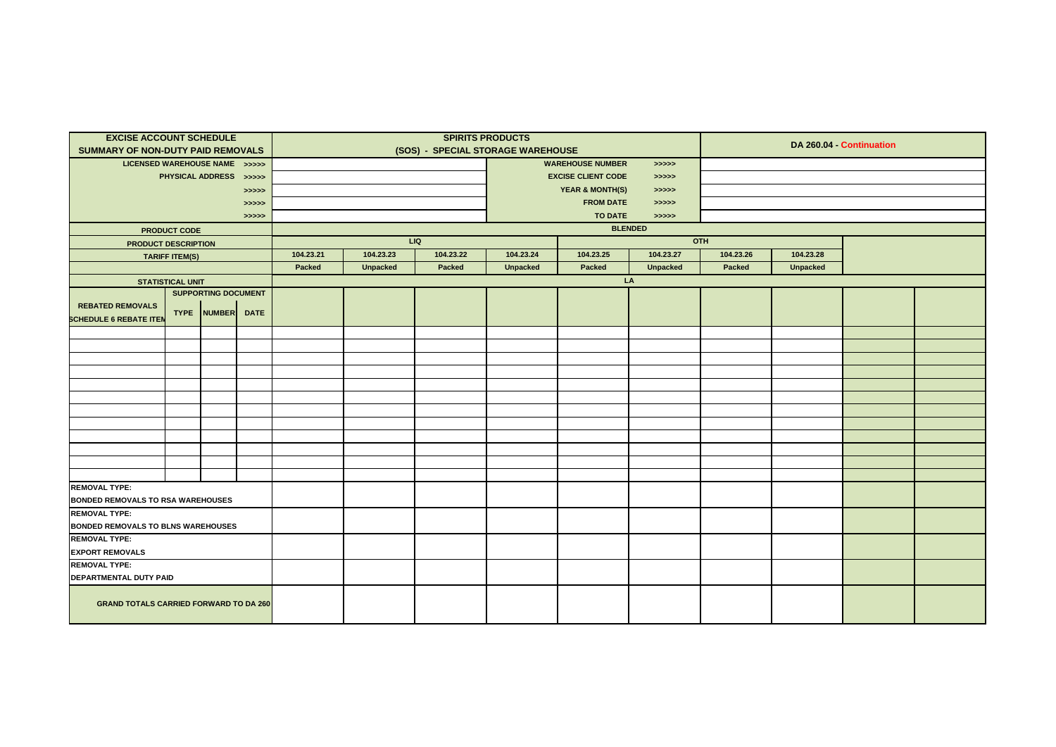| <b>EXCISE ACCOUNT SCHEDULE</b>                |                                                   |                            |          |           |                 |           | <b>SPIRITS PRODUCTS</b>           |                            |                 |           | DA 260.04 - Continuation |  |
|-----------------------------------------------|---------------------------------------------------|----------------------------|----------|-----------|-----------------|-----------|-----------------------------------|----------------------------|-----------------|-----------|--------------------------|--|
| <b>SUMMARY OF NON-DUTY PAID REMOVALS</b>      |                                                   |                            |          |           |                 |           | (SOS) - SPECIAL STORAGE WAREHOUSE |                            |                 |           |                          |  |
| LICENSED WAREHOUSE NAME >>>>>                 |                                                   |                            |          |           |                 |           |                                   | <b>WAREHOUSE NUMBER</b>    | >>>>            |           |                          |  |
|                                               |                                                   | PHYSICAL ADDRESS >>>>>     |          |           |                 |           |                                   | <b>EXCISE CLIENT CODE</b>  | > >> > >        |           |                          |  |
|                                               |                                                   |                            | >>>>>    |           |                 |           |                                   | <b>YEAR &amp; MONTH(S)</b> | > >> > > >      |           |                          |  |
|                                               |                                                   |                            | >>>>>    |           |                 |           |                                   | <b>FROM DATE</b>           | > >> > > >      |           |                          |  |
|                                               |                                                   |                            | > >> > > |           |                 |           |                                   | <b>TO DATE</b>             | > >> > >        |           |                          |  |
|                                               | <b>PRODUCT CODE</b>                               |                            |          |           |                 |           |                                   |                            | <b>BLENDED</b>  |           |                          |  |
| <b>PRODUCT DESCRIPTION</b>                    |                                                   |                            |          |           |                 | LIQ       |                                   |                            |                 | OTH       |                          |  |
|                                               | <b>TARIFF ITEM(S)</b>                             |                            |          | 104.23.21 | 104.23.23       | 104.23.22 | 104.23.24                         | 104.23.25                  | 104.23.27       | 104.23.26 | 104.23.28                |  |
|                                               |                                                   |                            |          | Packed    | <b>Unpacked</b> | Packed    | <b>Unpacked</b>                   | Packed                     | <b>Unpacked</b> | Packed    | <b>Unpacked</b>          |  |
|                                               | <b>STATISTICAL UNIT</b>                           |                            |          |           |                 |           |                                   |                            | LA              |           |                          |  |
|                                               |                                                   | <b>SUPPORTING DOCUMENT</b> |          |           |                 |           |                                   |                            |                 |           |                          |  |
| <b>REBATED REMOVALS</b>                       |                                                   |                            |          |           |                 |           |                                   |                            |                 |           |                          |  |
|                                               | TYPE NUMBER DATE<br><b>SCHEDULE 6 REBATE ITEN</b> |                            |          |           |                 |           |                                   |                            |                 |           |                          |  |
|                                               |                                                   |                            |          |           |                 |           |                                   |                            |                 |           |                          |  |
|                                               |                                                   |                            |          |           |                 |           |                                   |                            |                 |           |                          |  |
|                                               |                                                   |                            |          |           |                 |           |                                   |                            |                 |           |                          |  |
|                                               |                                                   |                            |          |           |                 |           |                                   |                            |                 |           |                          |  |
|                                               |                                                   |                            |          |           |                 |           |                                   |                            |                 |           |                          |  |
|                                               |                                                   |                            |          |           |                 |           |                                   |                            |                 |           |                          |  |
|                                               |                                                   |                            |          |           |                 |           |                                   |                            |                 |           |                          |  |
|                                               |                                                   |                            |          |           |                 |           |                                   |                            |                 |           |                          |  |
|                                               |                                                   |                            |          |           |                 |           |                                   |                            |                 |           |                          |  |
|                                               |                                                   |                            |          |           |                 |           |                                   |                            |                 |           |                          |  |
|                                               |                                                   |                            |          |           |                 |           |                                   |                            |                 |           |                          |  |
| <b>REMOVAL TYPE:</b>                          |                                                   |                            |          |           |                 |           |                                   |                            |                 |           |                          |  |
| <b>BONDED REMOVALS TO RSA WAREHOUSES</b>      |                                                   |                            |          |           |                 |           |                                   |                            |                 |           |                          |  |
| <b>REMOVAL TYPE:</b>                          |                                                   |                            |          |           |                 |           |                                   |                            |                 |           |                          |  |
| <b>BONDED REMOVALS TO BLNS WAREHOUSES</b>     |                                                   |                            |          |           |                 |           |                                   |                            |                 |           |                          |  |
| <b>REMOVAL TYPE:</b>                          |                                                   |                            |          |           |                 |           |                                   |                            |                 |           |                          |  |
| <b>EXPORT REMOVALS</b>                        |                                                   |                            |          |           |                 |           |                                   |                            |                 |           |                          |  |
| <b>REMOVAL TYPE:</b>                          |                                                   |                            |          |           |                 |           |                                   |                            |                 |           |                          |  |
| DEPARTMENTAL DUTY PAID                        |                                                   |                            |          |           |                 |           |                                   |                            |                 |           |                          |  |
| <b>GRAND TOTALS CARRIED FORWARD TO DA 260</b> |                                                   |                            |          |           |                 |           |                                   |                            |                 |           |                          |  |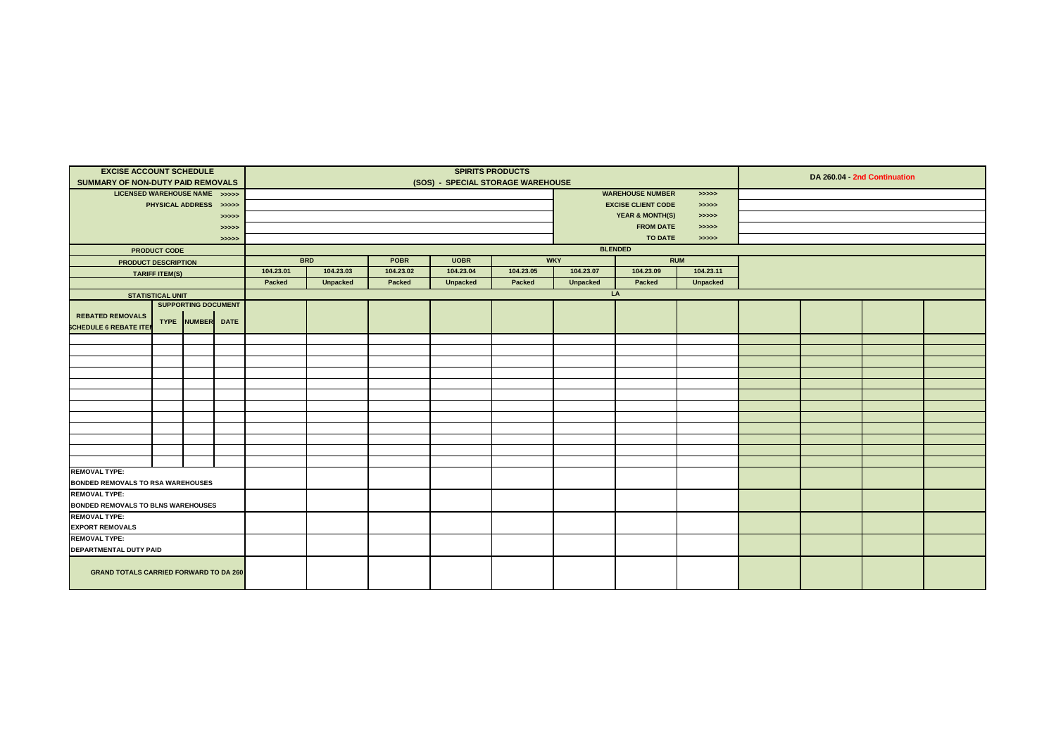| <b>EXCISE ACCOUNT SCHEDULE</b><br>SUMMARY OF NON-DUTY PAID REMOVALS |                                                                                                                   |  |       |           |                 |           | (SOS) - SPECIAL STORAGE WAREHOUSE | <b>SPIRITS PRODUCTS</b> |                 |                            |                 |  | DA 260.04 - 2nd Continuation |  |
|---------------------------------------------------------------------|-------------------------------------------------------------------------------------------------------------------|--|-------|-----------|-----------------|-----------|-----------------------------------|-------------------------|-----------------|----------------------------|-----------------|--|------------------------------|--|
| LICENSED WAREHOUSE NAME >>>>>                                       |                                                                                                                   |  |       |           |                 |           |                                   |                         |                 | <b>WAREHOUSE NUMBER</b>    | > >> > >        |  |                              |  |
|                                                                     | PHYSICAL ADDRESS >>>>>                                                                                            |  |       |           |                 |           |                                   |                         |                 | <b>EXCISE CLIENT CODE</b>  | > >> > >        |  |                              |  |
|                                                                     |                                                                                                                   |  | >>>>> |           |                 |           |                                   |                         |                 | <b>YEAR &amp; MONTH(S)</b> | > >> > >        |  |                              |  |
|                                                                     |                                                                                                                   |  | >>>>> |           |                 |           |                                   |                         |                 | <b>FROM DATE</b>           | > >> > >        |  |                              |  |
|                                                                     |                                                                                                                   |  | >>>>> |           |                 |           |                                   |                         |                 | <b>TO DATE</b>             | > >> > >        |  |                              |  |
|                                                                     | <b>PRODUCT CODE</b>                                                                                               |  |       |           |                 |           |                                   |                         |                 | <b>BLENDED</b>             |                 |  |                              |  |
| <b>PRODUCT DESCRIPTION</b>                                          |                                                                                                                   |  |       |           | <b>BRD</b>      | POBR      | <b>UOBR</b>                       |                         | <b>WKY</b>      |                            | RUM             |  |                              |  |
|                                                                     | <b>TARIFF ITEM(S)</b>                                                                                             |  |       | 104.23.01 | 104.23.03       | 104.23.02 | 104.23.04                         | 104.23.05               | 104.23.07       | 104.23.09                  | 104.23.11       |  |                              |  |
|                                                                     |                                                                                                                   |  |       | Packed    | <b>Unpacked</b> | Packed    | <b>Unpacked</b>                   | Packed                  | <b>Unpacked</b> | Packed                     | <b>Unpacked</b> |  |                              |  |
|                                                                     |                                                                                                                   |  |       |           |                 |           |                                   |                         |                 | LA                         |                 |  |                              |  |
|                                                                     |                                                                                                                   |  |       |           |                 |           |                                   |                         |                 |                            |                 |  |                              |  |
|                                                                     |                                                                                                                   |  |       |           |                 |           |                                   |                         |                 |                            |                 |  |                              |  |
|                                                                     | <b>STATISTICAL UNIT</b><br><b>SUPPORTING DOCUMENT</b><br><b>REBATED REMOVALS</b><br><b>SCHEDULE 6 REBATE ITEN</b> |  |       |           |                 |           |                                   |                         |                 |                            |                 |  |                              |  |
|                                                                     | TYPE NUMBER DATE                                                                                                  |  |       |           |                 |           |                                   |                         |                 |                            |                 |  |                              |  |
|                                                                     |                                                                                                                   |  |       |           |                 |           |                                   |                         |                 |                            |                 |  |                              |  |
|                                                                     |                                                                                                                   |  |       |           |                 |           |                                   |                         |                 |                            |                 |  |                              |  |
|                                                                     |                                                                                                                   |  |       |           |                 |           |                                   |                         |                 |                            |                 |  |                              |  |
|                                                                     |                                                                                                                   |  |       |           |                 |           |                                   |                         |                 |                            |                 |  |                              |  |
|                                                                     |                                                                                                                   |  |       |           |                 |           |                                   |                         |                 |                            |                 |  |                              |  |
|                                                                     |                                                                                                                   |  |       |           |                 |           |                                   |                         |                 |                            |                 |  |                              |  |
|                                                                     |                                                                                                                   |  |       |           |                 |           |                                   |                         |                 |                            |                 |  |                              |  |
|                                                                     |                                                                                                                   |  |       |           |                 |           |                                   |                         |                 |                            |                 |  |                              |  |
|                                                                     |                                                                                                                   |  |       |           |                 |           |                                   |                         |                 |                            |                 |  |                              |  |
|                                                                     |                                                                                                                   |  |       |           |                 |           |                                   |                         |                 |                            |                 |  |                              |  |
| <b>REMOVAL TYPE:</b>                                                |                                                                                                                   |  |       |           |                 |           |                                   |                         |                 |                            |                 |  |                              |  |
| <b>BONDED REMOVALS TO RSA WAREHOUSES</b>                            |                                                                                                                   |  |       |           |                 |           |                                   |                         |                 |                            |                 |  |                              |  |
| <b>REMOVAL TYPE:</b>                                                |                                                                                                                   |  |       |           |                 |           |                                   |                         |                 |                            |                 |  |                              |  |
| <b>BONDED REMOVALS TO BLNS WAREHOUSES</b>                           |                                                                                                                   |  |       |           |                 |           |                                   |                         |                 |                            |                 |  |                              |  |
| <b>REMOVAL TYPE:</b>                                                |                                                                                                                   |  |       |           |                 |           |                                   |                         |                 |                            |                 |  |                              |  |
| <b>EXPORT REMOVALS</b>                                              |                                                                                                                   |  |       |           |                 |           |                                   |                         |                 |                            |                 |  |                              |  |
| <b>REMOVAL TYPE:</b>                                                |                                                                                                                   |  |       |           |                 |           |                                   |                         |                 |                            |                 |  |                              |  |
| <b>DEPARTMENTAL DUTY PAID</b>                                       |                                                                                                                   |  |       |           |                 |           |                                   |                         |                 |                            |                 |  |                              |  |
| <b>GRAND TOTALS CARRIED FORWARD TO DA 260</b>                       |                                                                                                                   |  |       |           |                 |           |                                   |                         |                 |                            |                 |  |                              |  |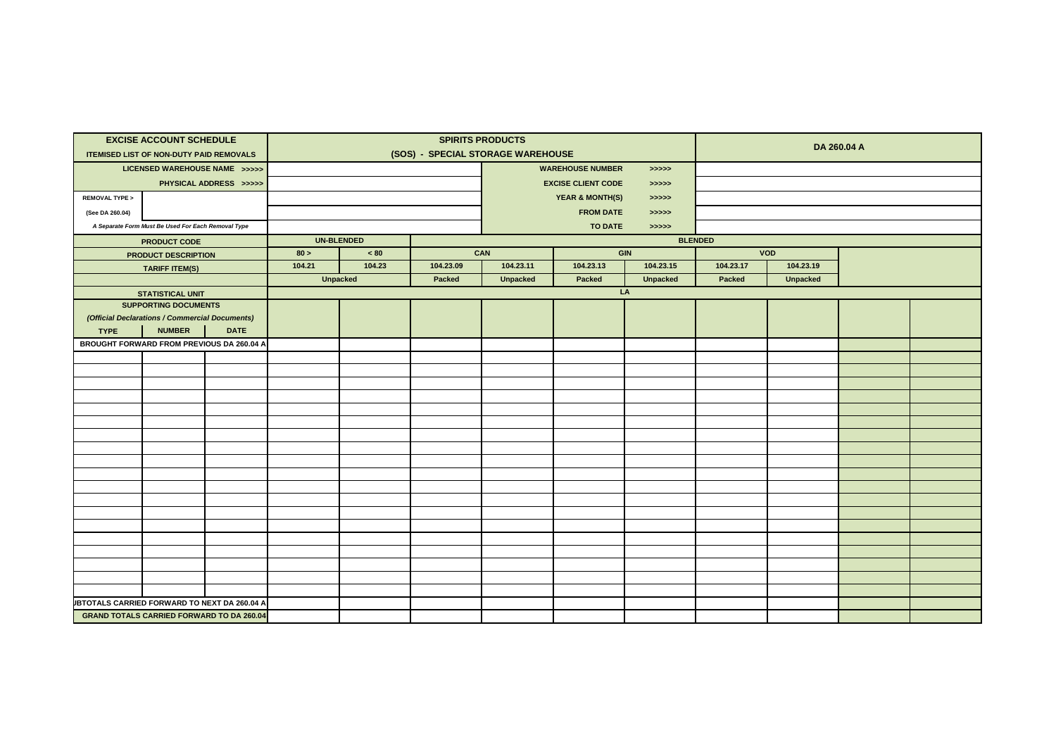|                                                     | <b>EXCISE ACCOUNT SCHEDULE</b>                         |                        |        |                   |                                   | <b>SPIRITS PRODUCTS</b> |                            |                 |                |                 | DA 260.04 A |  |
|-----------------------------------------------------|--------------------------------------------------------|------------------------|--------|-------------------|-----------------------------------|-------------------------|----------------------------|-----------------|----------------|-----------------|-------------|--|
|                                                     | <b>ITEMISED LIST OF NON-DUTY PAID REMOVALS</b>         |                        |        |                   | (SOS) - SPECIAL STORAGE WAREHOUSE |                         |                            |                 |                |                 |             |  |
|                                                     | LICENSED WAREHOUSE NAME >>>>>                          |                        |        |                   |                                   |                         | <b>WAREHOUSE NUMBER</b>    | > >> > > >      |                |                 |             |  |
|                                                     |                                                        | PHYSICAL ADDRESS >>>>> |        |                   |                                   |                         | <b>EXCISE CLIENT CODE</b>  | > >> > > >      |                |                 |             |  |
| <b>REMOVAL TYPE &gt;</b>                            |                                                        |                        |        |                   |                                   |                         | <b>YEAR &amp; MONTH(S)</b> | > >> > >        |                |                 |             |  |
| (See DA 260.04)                                     |                                                        |                        |        |                   |                                   |                         | <b>FROM DATE</b>           | >>>>>           |                |                 |             |  |
|                                                     | A Separate Form Must Be Used For Each Removal Type     |                        |        |                   |                                   |                         | <b>TO DATE</b>             | >>>>>           |                |                 |             |  |
|                                                     | <b>PRODUCT CODE</b>                                    |                        |        | <b>UN-BLENDED</b> |                                   |                         |                            |                 | <b>BLENDED</b> |                 |             |  |
|                                                     | PRODUCT DESCRIPTION                                    |                        | 80 >   | $~<$ 80           |                                   | CAN                     |                            | <b>GIN</b>      |                | VOD             |             |  |
|                                                     | <b>TARIFF ITEM(S)</b>                                  |                        | 104.21 | 104.23            | 104.23.09                         | 104.23.11               | 104.23.13                  | 104.23.15       | 104.23.17      | 104.23.19       |             |  |
|                                                     |                                                        |                        |        | <b>Unpacked</b>   | Packed                            | <b>Unpacked</b>         | Packed                     | <b>Unpacked</b> | Packed         | <b>Unpacked</b> |             |  |
|                                                     | <b>STATISTICAL UNIT</b><br><b>SUPPORTING DOCUMENTS</b> |                        |        |                   |                                   |                         |                            | LA              |                |                 |             |  |
|                                                     | (Official Declarations / Commercial Documents)         |                        |        |                   |                                   |                         |                            |                 |                |                 |             |  |
| <b>TYPE</b>                                         | <b>NUMBER</b>                                          | <b>DATE</b>            |        |                   |                                   |                         |                            |                 |                |                 |             |  |
| <b>BROUGHT FORWARD FROM PREVIOUS DA 260.04 A</b>    |                                                        |                        |        |                   |                                   |                         |                            |                 |                |                 |             |  |
|                                                     |                                                        |                        |        |                   |                                   |                         |                            |                 |                |                 |             |  |
|                                                     |                                                        |                        |        |                   |                                   |                         |                            |                 |                |                 |             |  |
|                                                     |                                                        |                        |        |                   |                                   |                         |                            |                 |                |                 |             |  |
|                                                     |                                                        |                        |        |                   |                                   |                         |                            |                 |                |                 |             |  |
|                                                     |                                                        |                        |        |                   |                                   |                         |                            |                 |                |                 |             |  |
|                                                     |                                                        |                        |        |                   |                                   |                         |                            |                 |                |                 |             |  |
|                                                     |                                                        |                        |        |                   |                                   |                         |                            |                 |                |                 |             |  |
|                                                     |                                                        |                        |        |                   |                                   |                         |                            |                 |                |                 |             |  |
|                                                     |                                                        |                        |        |                   |                                   |                         |                            |                 |                |                 |             |  |
|                                                     |                                                        |                        |        |                   |                                   |                         |                            |                 |                |                 |             |  |
|                                                     |                                                        |                        |        |                   |                                   |                         |                            |                 |                |                 |             |  |
|                                                     |                                                        |                        |        |                   |                                   |                         |                            |                 |                |                 |             |  |
|                                                     |                                                        |                        |        |                   |                                   |                         |                            |                 |                |                 |             |  |
|                                                     |                                                        |                        |        |                   |                                   |                         |                            |                 |                |                 |             |  |
|                                                     |                                                        |                        |        |                   |                                   |                         |                            |                 |                |                 |             |  |
|                                                     |                                                        |                        |        |                   |                                   |                         |                            |                 |                |                 |             |  |
|                                                     |                                                        |                        |        |                   |                                   |                         |                            |                 |                |                 |             |  |
|                                                     |                                                        |                        |        |                   |                                   |                         |                            |                 |                |                 |             |  |
| <b>JBTOTALS CARRIED FORWARD TO NEXT DA 260.04 A</b> |                                                        |                        |        |                   |                                   |                         |                            |                 |                |                 |             |  |
| <b>GRAND TOTALS CARRIED FORWARD TO DA 260.04</b>    |                                                        |                        |        |                   |                                   |                         |                            |                 |                |                 |             |  |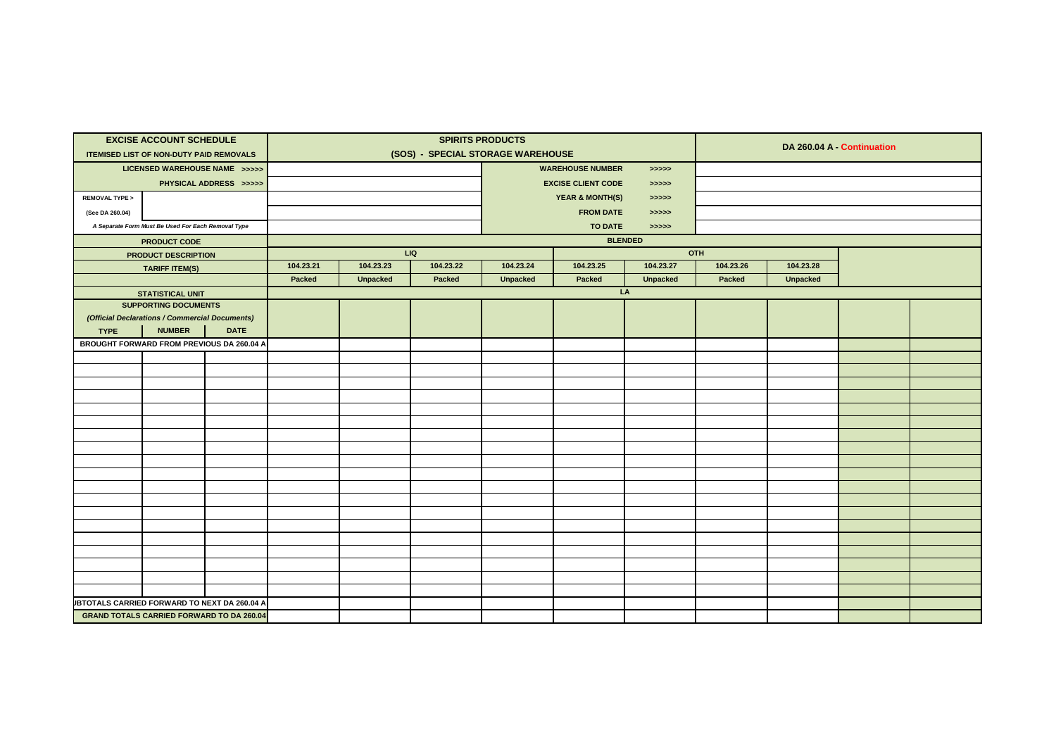|                                                     | <b>EXCISE ACCOUNT SCHEDULE</b>                     |                        |           |                 |                                   | <b>SPIRITS PRODUCTS</b> |                            |                 |           |                 |                            |  |
|-----------------------------------------------------|----------------------------------------------------|------------------------|-----------|-----------------|-----------------------------------|-------------------------|----------------------------|-----------------|-----------|-----------------|----------------------------|--|
|                                                     | <b>ITEMISED LIST OF NON-DUTY PAID REMOVALS</b>     |                        |           |                 | (SOS) - SPECIAL STORAGE WAREHOUSE |                         |                            |                 |           |                 | DA 260.04 A - Continuation |  |
|                                                     | LICENSED WAREHOUSE NAME >>>>>                      |                        |           |                 |                                   |                         | <b>WAREHOUSE NUMBER</b>    | >>>>>           |           |                 |                            |  |
|                                                     |                                                    | PHYSICAL ADDRESS >>>>> |           |                 |                                   |                         | <b>EXCISE CLIENT CODE</b>  | >>>>>           |           |                 |                            |  |
| <b>REMOVAL TYPE &gt;</b>                            |                                                    |                        |           |                 |                                   |                         | <b>YEAR &amp; MONTH(S)</b> | > >> > >        |           |                 |                            |  |
| (See DA 260.04)                                     |                                                    |                        |           |                 |                                   |                         | <b>FROM DATE</b>           | >>>>>           |           |                 |                            |  |
|                                                     | A Separate Form Must Be Used For Each Removal Type |                        |           |                 |                                   |                         | <b>TO DATE</b>             | >>>>>           |           |                 |                            |  |
|                                                     | <b>PRODUCT CODE</b>                                |                        |           |                 |                                   |                         |                            | <b>BLENDED</b>  |           |                 |                            |  |
|                                                     | PRODUCT DESCRIPTION                                |                        |           | LIQ             |                                   |                         |                            |                 | OTH       |                 |                            |  |
|                                                     | <b>TARIFF ITEM(S)</b>                              |                        | 104.23.21 | 104.23.23       | 104.23.22                         | 104.23.24               | 104.23.25                  | 104.23.27       | 104.23.26 | 104.23.28       |                            |  |
|                                                     |                                                    |                        | Packed    | <b>Unpacked</b> | Packed                            | <b>Unpacked</b>         | Packed                     | <b>Unpacked</b> | Packed    | <b>Unpacked</b> |                            |  |
|                                                     | <b>STATISTICAL UNIT</b>                            |                        |           |                 |                                   |                         |                            | LA              |           |                 |                            |  |
|                                                     | <b>SUPPORTING DOCUMENTS</b>                        |                        |           |                 |                                   |                         |                            |                 |           |                 |                            |  |
|                                                     | (Official Declarations / Commercial Documents)     |                        |           |                 |                                   |                         |                            |                 |           |                 |                            |  |
| <b>TYPE</b>                                         | <b>NUMBER</b>                                      | <b>DATE</b>            |           |                 |                                   |                         |                            |                 |           |                 |                            |  |
| <b>BROUGHT FORWARD FROM PREVIOUS DA 260.04 A</b>    |                                                    |                        |           |                 |                                   |                         |                            |                 |           |                 |                            |  |
|                                                     |                                                    |                        |           |                 |                                   |                         |                            |                 |           |                 |                            |  |
|                                                     |                                                    |                        |           |                 |                                   |                         |                            |                 |           |                 |                            |  |
|                                                     |                                                    |                        |           |                 |                                   |                         |                            |                 |           |                 |                            |  |
|                                                     |                                                    |                        |           |                 |                                   |                         |                            |                 |           |                 |                            |  |
|                                                     |                                                    |                        |           |                 |                                   |                         |                            |                 |           |                 |                            |  |
|                                                     |                                                    |                        |           |                 |                                   |                         |                            |                 |           |                 |                            |  |
|                                                     |                                                    |                        |           |                 |                                   |                         |                            |                 |           |                 |                            |  |
|                                                     |                                                    |                        |           |                 |                                   |                         |                            |                 |           |                 |                            |  |
|                                                     |                                                    |                        |           |                 |                                   |                         |                            |                 |           |                 |                            |  |
|                                                     |                                                    |                        |           |                 |                                   |                         |                            |                 |           |                 |                            |  |
|                                                     |                                                    |                        |           |                 |                                   |                         |                            |                 |           |                 |                            |  |
|                                                     |                                                    |                        |           |                 |                                   |                         |                            |                 |           |                 |                            |  |
|                                                     |                                                    |                        |           |                 |                                   |                         |                            |                 |           |                 |                            |  |
|                                                     |                                                    |                        |           |                 |                                   |                         |                            |                 |           |                 |                            |  |
|                                                     |                                                    |                        |           |                 |                                   |                         |                            |                 |           |                 |                            |  |
|                                                     |                                                    |                        |           |                 |                                   |                         |                            |                 |           |                 |                            |  |
|                                                     |                                                    |                        |           |                 |                                   |                         |                            |                 |           |                 |                            |  |
|                                                     |                                                    |                        |           |                 |                                   |                         |                            |                 |           |                 |                            |  |
| <b>JBTOTALS CARRIED FORWARD TO NEXT DA 260.04 A</b> |                                                    |                        |           |                 |                                   |                         |                            |                 |           |                 |                            |  |
|                                                     | <b>GRAND TOTALS CARRIED FORWARD TO DA 260.04</b>   |                        |           |                 |                                   |                         |                            |                 |           |                 |                            |  |